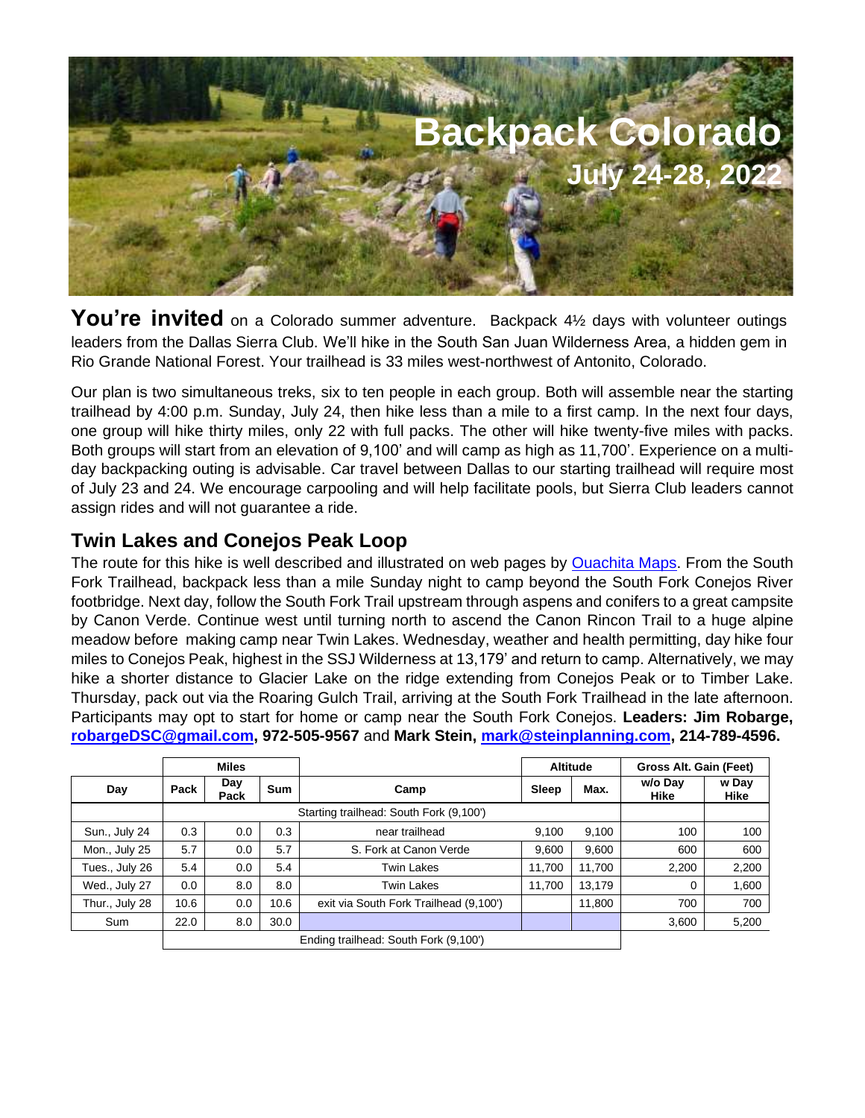

You're invited on a Colorado summer adventure. Backpack 41/<sub>2</sub> days with volunteer outings leaders from the Dallas Sierra Club. We'll hike in the South San Juan Wilderness Area, a hidden gem in Rio Grande National Forest. Your trailhead is 33 miles west-northwest of Antonito, Colorado.

Our plan is two simultaneous treks, six to ten people in each group. Both will assemble near the starting trailhead by 4:00 p.m. Sunday, July 24, then hike less than a mile to a first camp. In the next four days, one group will hike thirty miles, only 22 with full packs. The other will hike twenty-five miles with packs. Both groups will start from an elevation of 9,100' and will camp as high as 11,700'. Experience on a multiday backpacking outing is advisable. Car travel between Dallas to our starting trailhead will require most of July 23 and 24. We encourage carpooling and will help facilitate pools, but Sierra Club leaders cannot assign rides and will not guarantee a ride.

## **Twin Lakes and Conejos Peak Loop**

The route for this hike is well described and illustrated on web pages by [Ouachita Maps.](http://www.ouachitamaps.com/SSJ%20Wilderness.html) From the South Fork Trailhead, backpack less than a mile Sunday night to camp beyond the South Fork Conejos River footbridge. Next day, follow the South Fork Trail upstream through aspens and conifers to a great campsite by Canon Verde. Continue west until turning north to ascend the Canon Rincon Trail to a huge alpine meadow before making camp near Twin Lakes. Wednesday, weather and health permitting, day hike four miles to Conejos Peak, highest in the SSJ Wilderness at 13,179' and return to camp. Alternatively, we may hike a shorter distance to Glacier Lake on the ridge extending from Conejos Peak or to Timber Lake. Thursday, pack out via the Roaring Gulch Trail, arriving at the South Fork Trailhead in the late afternoon. Participants may opt to start for home or camp near the South Fork Conejos. **Leaders: Jim Robarge, [robargeDSC@gmail.com,](mailto:robargeDSC@gmail.com) 972-505-9567** and **Mark Stein, [mark@steinplanning.com,](mailto:mark@steinplanning.com) 214-789-4596.** 

|                | <b>Miles</b> |                                         |            |                                        | <b>Altitude</b> |        | Gross Alt. Gain (Feet) |               |
|----------------|--------------|-----------------------------------------|------------|----------------------------------------|-----------------|--------|------------------------|---------------|
| Day            | Pack         | Day<br>Pack                             | <b>Sum</b> | Camp                                   | Sleep           | Max.   | w/o Day<br>Hike        | w Day<br>Hike |
|                |              | Starting trailhead: South Fork (9,100') |            |                                        |                 |        |                        |               |
| Sun., July 24  | 0.3          | 0.0                                     | 0.3        | near trailhead                         | 9,100           | 9,100  | 100                    | 100           |
| Mon., July 25  | 5.7          | 0.0                                     | 5.7        | S. Fork at Canon Verde                 | 9.600           | 9,600  | 600                    | 600           |
| Tues., July 26 | 5.4          | 0.0                                     | 5.4        | <b>Twin Lakes</b>                      | 11.700          | 11,700 | 2,200                  | 2,200         |
| Wed., July 27  | 0.0          | 8.0                                     | 8.0        | <b>Twin Lakes</b>                      | 11.700          | 13.179 | 0                      | 1,600         |
| Thur., July 28 | 10.6         | 0.0                                     | 10.6       | exit via South Fork Trailhead (9,100') |                 | 11,800 | 700                    | 700           |
| Sum            | 22.0         | 8.0                                     | 30.0       |                                        |                 |        | 3,600                  | 5,200         |
|                |              |                                         |            | Ending trailhead: South Fork (9,100')  |                 |        |                        |               |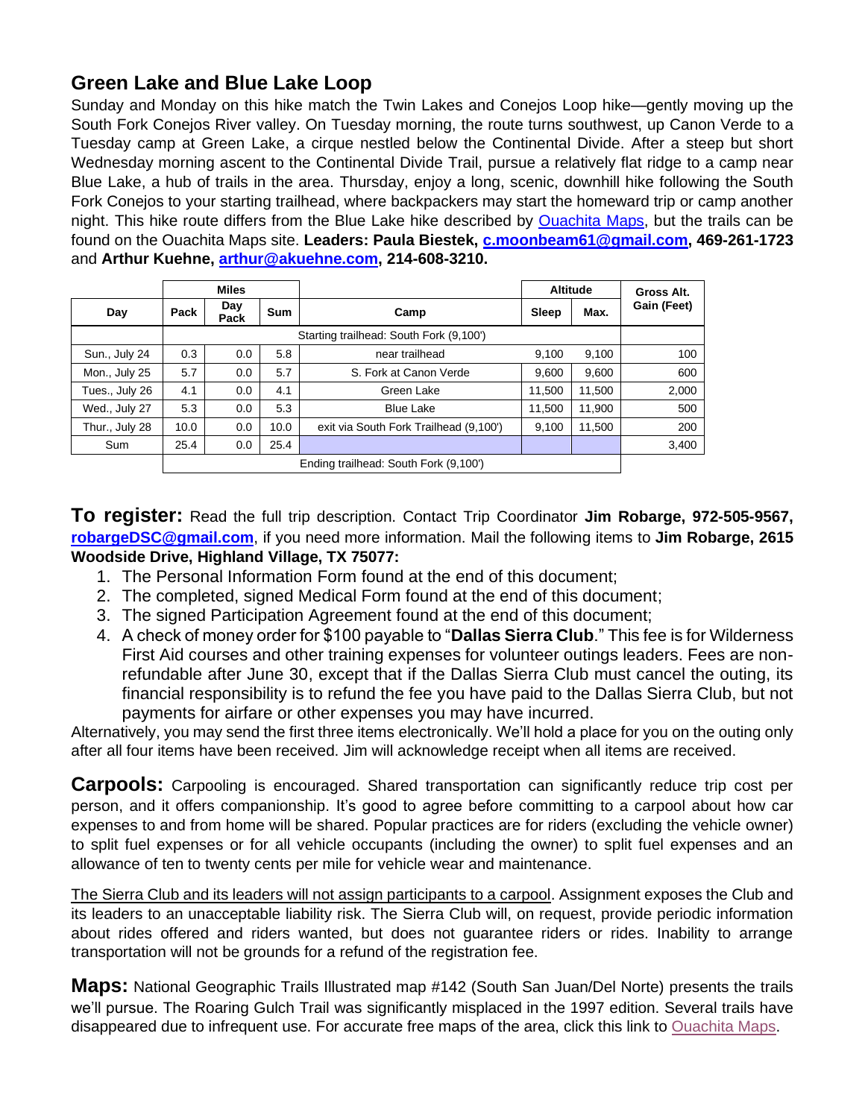## **Green Lake and Blue Lake Loop**

Sunday and Monday on this hike match the Twin Lakes and Conejos Loop hike—gently moving up the South Fork Conejos River valley. On Tuesday morning, the route turns southwest, up Canon Verde to a Tuesday camp at Green Lake, a cirque nestled below the Continental Divide. After a steep but short Wednesday morning ascent to the Continental Divide Trail, pursue a relatively flat ridge to a camp near Blue Lake, a hub of trails in the area. Thursday, enjoy a long, scenic, downhill hike following the South Fork Conejos to your starting trailhead, where backpackers may start the homeward trip or camp another night. This hike route differs from the Blue Lake hike described by [Ouachita Maps,](http://www.ouachitamaps.com/SSJ%20Wilderness.html) but the trails can be found on the Ouachita Maps site. **Leaders: Paula Biestek, [c.moonbeam61@gmail.com,](mailto:c.moonbeam61@gmail.com) 469-261-1723**  and **Arthur Kuehne, [arthur@akuehne.com,](mailto:arthur@akuehne.com) 214-608-3210.** 

|                                       | <b>Miles</b>                            |             |            |                                        |        | <b>Altitude</b> | Gross Alt.  |
|---------------------------------------|-----------------------------------------|-------------|------------|----------------------------------------|--------|-----------------|-------------|
| Day                                   | Pack                                    | Day<br>Pack | <b>Sum</b> | Camp                                   | Sleep  | Max.            | Gain (Feet) |
|                                       | Starting trailhead: South Fork (9,100') |             |            |                                        |        |                 |             |
| Sun., July 24                         | 0.3                                     | 0.0         | 5.8        | near trailhead                         | 9.100  | 9.100           | 100         |
| Mon., July 25                         | 5.7                                     | 0.0         | 5.7        | S. Fork at Canon Verde                 | 9.600  | 9.600           | 600         |
| Tues., July 26                        | 4.1                                     | 0.0         | 4.1        | Green Lake                             | 11.500 | 11,500          | 2,000       |
| Wed., July 27                         | 5.3                                     | 0.0         | 5.3        | <b>Blue Lake</b>                       | 11.500 | 11.900          | 500         |
| Thur., July 28                        | 10.0                                    | 0.0         | 10.0       | exit via South Fork Trailhead (9,100') | 9.100  | 11,500          | 200         |
| Sum                                   | 25.4                                    | 0.0         | 25.4       |                                        |        |                 | 3,400       |
| Ending trailhead: South Fork (9,100') |                                         |             |            |                                        |        |                 |             |

**To register:** Read the full trip description. Contact Trip Coordinator **Jim Robarge, 972-505-9567, [robargeDSC@gmail.com](mailto:robargeDSC@gmail.com)**, if you need more information. Mail the following items to **Jim Robarge, 2615 Woodside Drive, Highland Village, TX 75077:** 

- 1. The Personal Information Form found at the end of this document;
- 2. The completed, signed Medical Form found at the end of this document;
- 3. The signed Participation Agreement found at the end of this document;
- 4. A check of money order for \$100 payable to "**Dallas Sierra Club**." This fee is for Wilderness First Aid courses and other training expenses for volunteer outings leaders. Fees are nonrefundable after June 30, except that if the Dallas Sierra Club must cancel the outing, its financial responsibility is to refund the fee you have paid to the Dallas Sierra Club, but not payments for airfare or other expenses you may have incurred.

Alternatively, you may send the first three items electronically. We'll hold a place for you on the outing only after all four items have been received. Jim will acknowledge receipt when all items are received.

**Carpools:** Carpooling is encouraged. Shared transportation can significantly reduce trip cost per person, and it offers companionship. It's good to agree before committing to a carpool about how car expenses to and from home will be shared. Popular practices are for riders (excluding the vehicle owner) to split fuel expenses or for all vehicle occupants (including the owner) to split fuel expenses and an allowance of ten to twenty cents per mile for vehicle wear and maintenance.

The Sierra Club and its leaders will not assign participants to a carpool. Assignment exposes the Club and its leaders to an unacceptable liability risk. The Sierra Club will, on request, provide periodic information about rides offered and riders wanted, but does not guarantee riders or rides. Inability to arrange transportation will not be grounds for a refund of the registration fee.

**Maps:** National Geographic Trails Illustrated map #142 (South San Juan/Del Norte) presents the trails we'll pursue. The Roaring Gulch Trail was significantly misplaced in the 1997 edition. Several trails have disappeared due to infrequent use. For accurate free maps of the area, click this link to [Ouachita Maps.](http://www.ouachitamaps.com/SSJ%20Wilderness.html)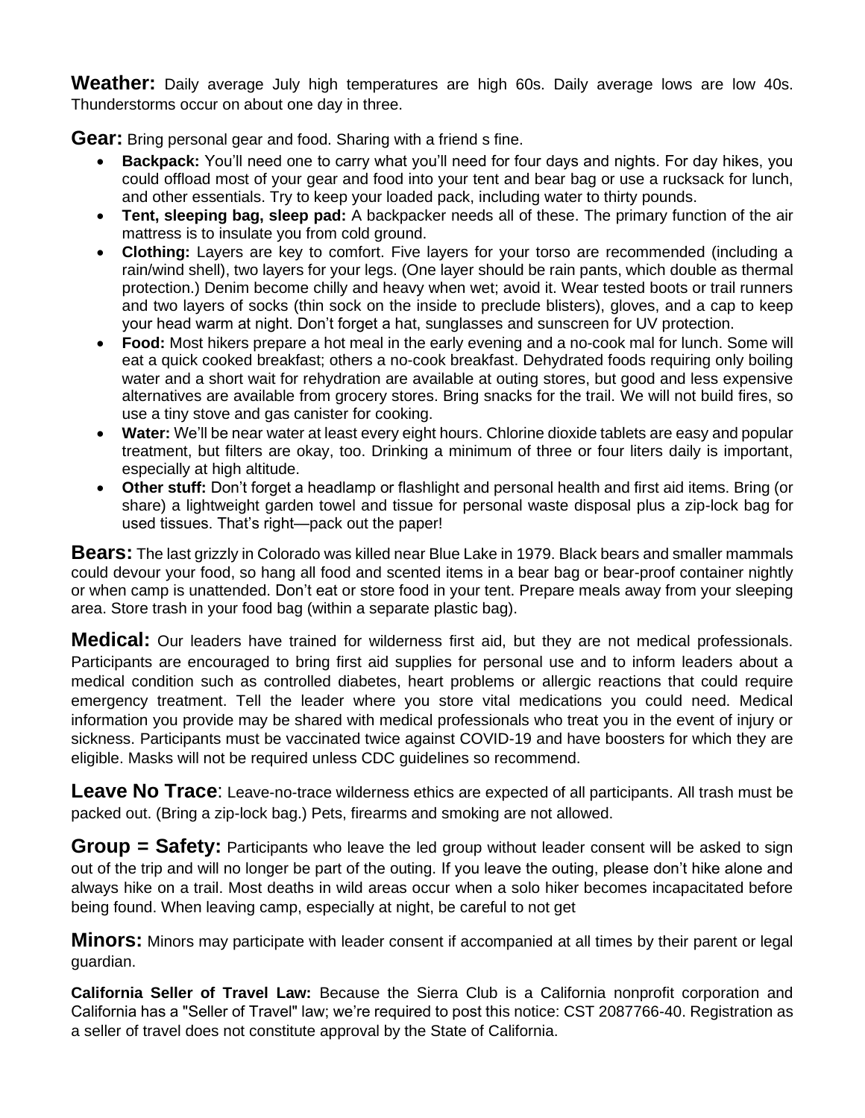**Weather:** Daily average July high temperatures are high 60s. Daily average lows are low 40s. Thunderstorms occur on about one day in three.

**Gear:** Bring personal gear and food. Sharing with a friend s fine.

- **Backpack:** You'll need one to carry what you'll need for four days and nights. For day hikes, you could offload most of your gear and food into your tent and bear bag or use a rucksack for lunch, and other essentials. Try to keep your loaded pack, including water to thirty pounds.
- **Tent, sleeping bag, sleep pad:** A backpacker needs all of these. The primary function of the air mattress is to insulate you from cold ground.
- **Clothing:** Layers are key to comfort. Five layers for your torso are recommended (including a rain/wind shell), two layers for your legs. (One layer should be rain pants, which double as thermal protection.) Denim become chilly and heavy when wet; avoid it. Wear tested boots or trail runners and two layers of socks (thin sock on the inside to preclude blisters), gloves, and a cap to keep your head warm at night. Don't forget a hat, sunglasses and sunscreen for UV protection.
- **Food:** Most hikers prepare a hot meal in the early evening and a no-cook mal for lunch. Some will eat a quick cooked breakfast; others a no-cook breakfast. Dehydrated foods requiring only boiling water and a short wait for rehydration are available at outing stores, but good and less expensive alternatives are available from grocery stores. Bring snacks for the trail. We will not build fires, so use a tiny stove and gas canister for cooking.
- **Water:** We'll be near water at least every eight hours. Chlorine dioxide tablets are easy and popular treatment, but filters are okay, too. Drinking a minimum of three or four liters daily is important, especially at high altitude.
- **Other stuff:** Don't forget a headlamp or flashlight and personal health and first aid items. Bring (or share) a lightweight garden towel and tissue for personal waste disposal plus a zip-lock bag for used tissues. That's right—pack out the paper!

**Bears:** The last grizzly in Colorado was killed near Blue Lake in 1979. Black bears and smaller mammals could devour your food, so hang all food and scented items in a bear bag or bear-proof container nightly or when camp is unattended. Don't eat or store food in your tent. Prepare meals away from your sleeping area. Store trash in your food bag (within a separate plastic bag).

**Medical:** Our leaders have trained for wilderness first aid, but they are not medical professionals. Participants are encouraged to bring first aid supplies for personal use and to inform leaders about a medical condition such as controlled diabetes, heart problems or allergic reactions that could require emergency treatment. Tell the leader where you store vital medications you could need. Medical information you provide may be shared with medical professionals who treat you in the event of injury or sickness. Participants must be vaccinated twice against COVID-19 and have boosters for which they are eligible. Masks will not be required unless CDC guidelines so recommend.

**Leave No Trace**: Leave-no-trace wilderness ethics are expected of all participants. All trash must be packed out. (Bring a zip-lock bag.) Pets, firearms and smoking are not allowed.

**Group = Safety:** Participants who leave the led group without leader consent will be asked to sign out of the trip and will no longer be part of the outing. If you leave the outing, please don't hike alone and always hike on a trail. Most deaths in wild areas occur when a solo hiker becomes incapacitated before being found. When leaving camp, especially at night, be careful to not get

**Minors:** Minors may participate with leader consent if accompanied at all times by their parent or legal guardian.

**California Seller of Travel Law:** Because the Sierra Club is a California nonprofit corporation and California has a "Seller of Travel" law; we're required to post this notice: CST 2087766-40. Registration as a seller of travel does not constitute approval by the State of California.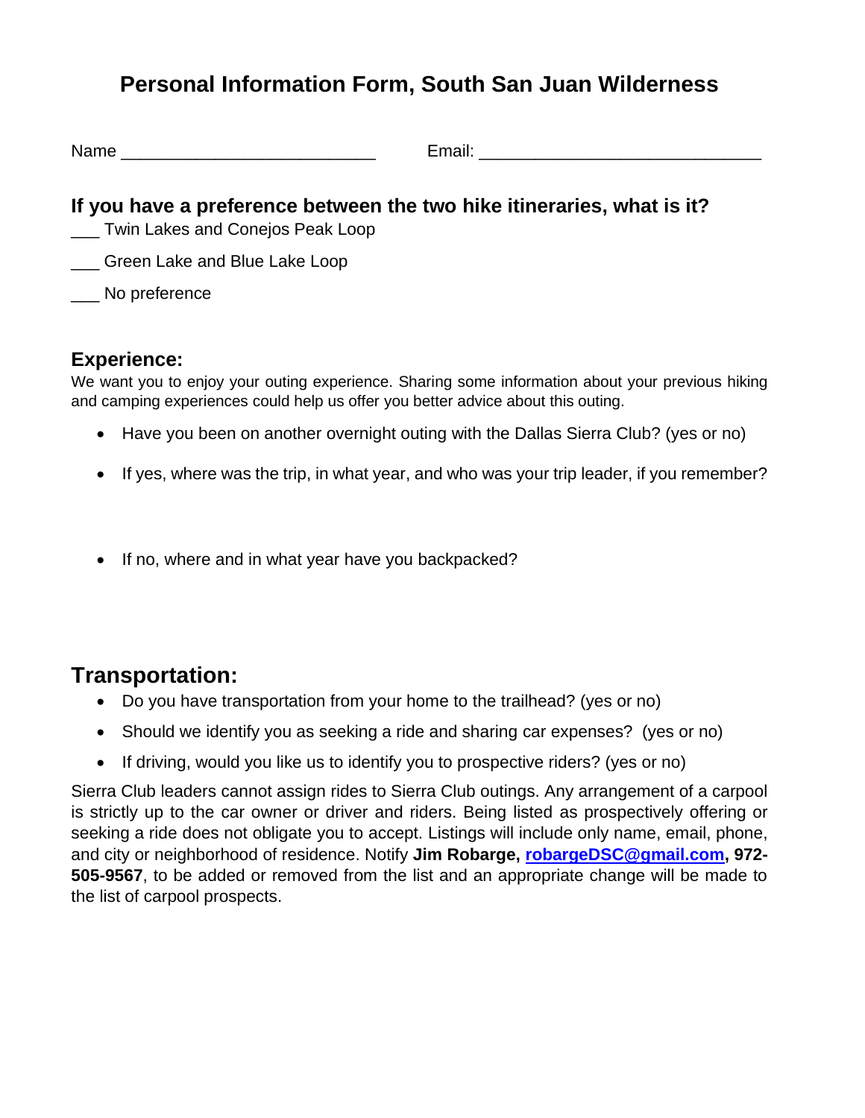## **Personal Information Form, South San Juan Wilderness**

Name **Email:**  $\blacksquare$ 

## **If you have a preference between the two hike itineraries, what is it?**

- \_\_\_ Twin Lakes and Conejos Peak Loop
- **Example 2** Green Lake and Blue Lake Loop
- \_\_\_ No preference

## **Experience:**

We want you to enjoy your outing experience. Sharing some information about your previous hiking and camping experiences could help us offer you better advice about this outing.

- Have you been on another overnight outing with the Dallas Sierra Club? (yes or no)
- If yes, where was the trip, in what year, and who was your trip leader, if you remember?
- If no, where and in what year have you backpacked?

## **Transportation:**

- Do you have transportation from your home to the trailhead? (yes or no)
- Should we identify you as seeking a ride and sharing car expenses? (yes or no)
- If driving, would you like us to identify you to prospective riders? (yes or no)

Sierra Club leaders cannot assign rides to Sierra Club outings. Any arrangement of a carpool is strictly up to the car owner or driver and riders. Being listed as prospectively offering or seeking a ride does not obligate you to accept. Listings will include only name, email, phone, and city or neighborhood of residence. Notify **Jim Robarge, [robargeDSC@gmail.com,](mailto:robargeDSC@gmail.com) 972- 505-9567**, to be added or removed from the list and an appropriate change will be made to the list of carpool prospects.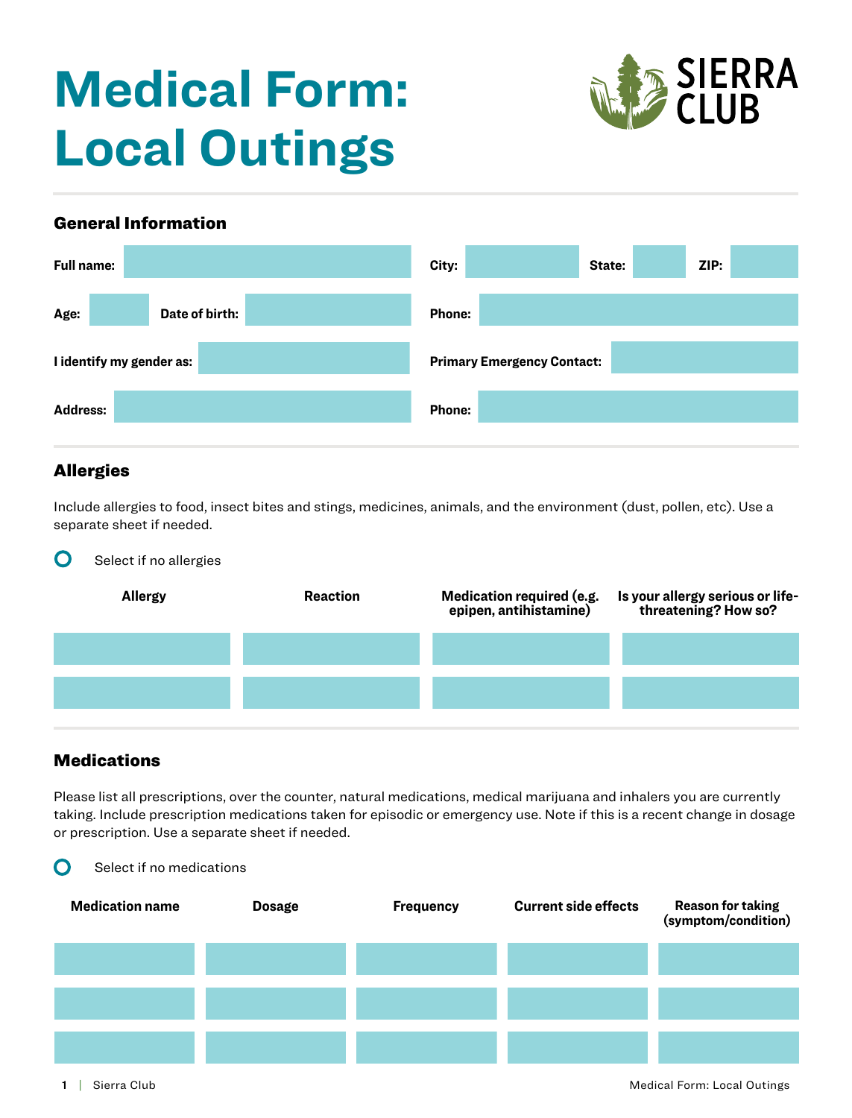# **Medical Form: Local Outings**



#### General Information

| <b>Full name:</b>        | ZIP:<br>City:<br>State:           |
|--------------------------|-----------------------------------|
| Age:<br>Date of birth:   | Phone:                            |
| I identify my gender as: | <b>Primary Emergency Contact:</b> |
| <b>Address:</b>          | Phone:                            |

### Allergies

Include allergies to food, insect bites and stings, medicines, animals, and the environment (dust, pollen, etc). Use a separate sheet if needed.

#### **O** Select if no allergies

| <b>Allergy</b> | <b>Reaction</b> | Medication required (e.g.<br>epipen, antihistamine) | Is your allergy serious or life-<br>threatening? How so? |
|----------------|-----------------|-----------------------------------------------------|----------------------------------------------------------|
|                |                 |                                                     |                                                          |
|                |                 |                                                     |                                                          |
|                |                 |                                                     |                                                          |

#### **Medications**

 $\Omega$  Select if no medications

Please list all prescriptions, over the counter, natural medications, medical marijuana and inhalers you are currently taking. Include prescription medications taken for episodic or emergency use. Note if this is a recent change in dosage or prescription. Use a separate sheet if needed.

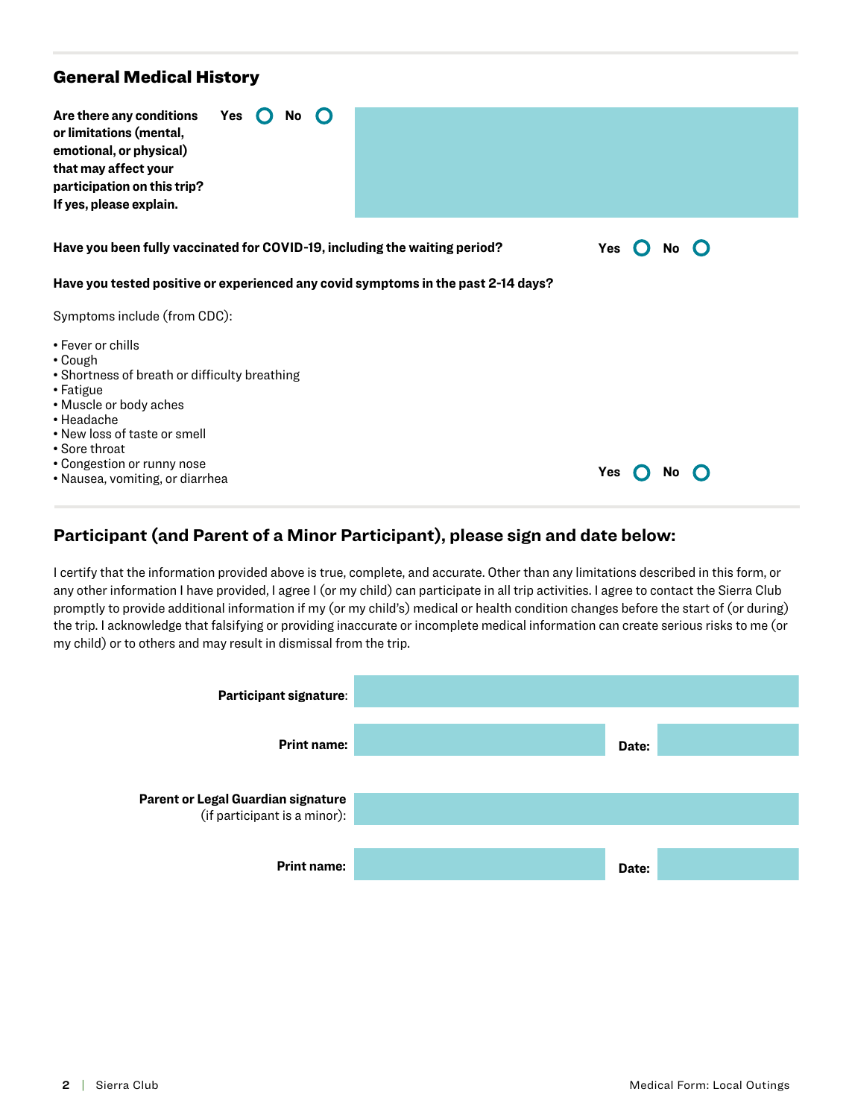#### General Medical History

| Are there any conditions<br>Yes<br>No<br>or limitations (mental,<br>emotional, or physical)<br>that may affect your<br>participation on this trip?<br>If yes, please explain.                                                                        |             |
|------------------------------------------------------------------------------------------------------------------------------------------------------------------------------------------------------------------------------------------------------|-------------|
| Have you been fully vaccinated for COVID-19, including the waiting period?                                                                                                                                                                           | Yes<br>No l |
| Have you tested positive or experienced any covid symptoms in the past 2-14 days?                                                                                                                                                                    |             |
| Symptoms include (from CDC):                                                                                                                                                                                                                         |             |
| • Fever or chills<br>• Cough<br>• Shortness of breath or difficulty breathing<br>• Fatigue<br>• Muscle or body aches<br>• Headache<br>• New loss of taste or smell<br>• Sore throat<br>• Congestion or runny nose<br>• Nausea, vomiting, or diarrhea | Yes         |

#### **Participant (and Parent of a Minor Participant), please sign and date below:**

I certify that the information provided above is true, complete, and accurate. Other than any limitations described in this form, or any other information I have provided, I agree I (or my child) can participate in all trip activities. I agree to contact the Sierra Club promptly to provide additional information if my (or my child's) medical or health condition changes before the start of (or during) the trip. I acknowledge that falsifying or providing inaccurate or incomplete medical information can create serious risks to me (or my child) or to others and may result in dismissal from the trip.

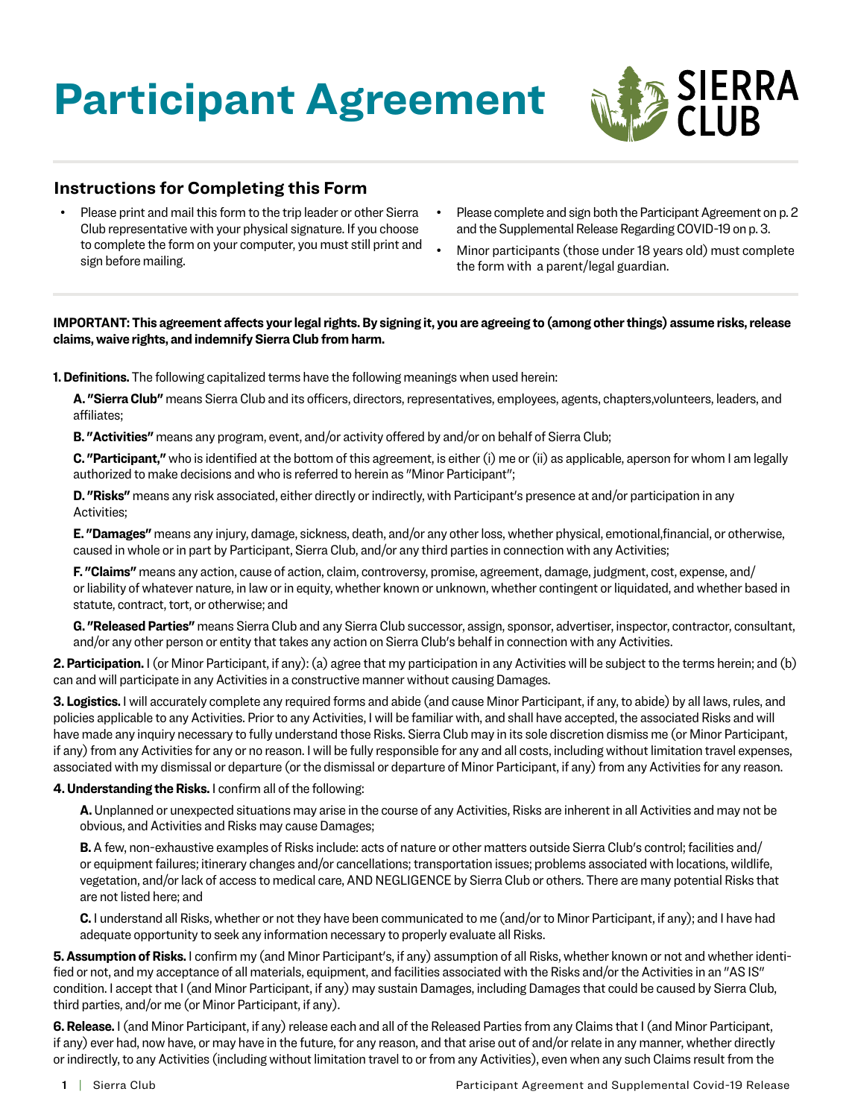# **Participant Agreement**



#### **Instructions for Completing this Form**

- Please print and mail this form to the trip leader or other Sierra Club representative with your physical signature. If you choose to complete the form on your computer, you must still print and sign before mailing.
- Please complete and sign both the Participant Agreement on p. 2 and the Supplemental Release Regarding COVID-19 on p. 3.
- Minor participants (those under 18 years old) must complete the form with a parent/legal guardian.

#### **IMPORTANT: This agreement affects your legal rights. By signing it, you are agreeing to (among other things) assume risks, release claims, waive rights, and indemnify Sierra Club from harm.**

**1. Definitions.** The following capitalized terms have the following meanings when used herein:

**A. "Sierra Club"** means Sierra Club and its officers, directors, representatives, employees, agents, chapters,volunteers, leaders, and affiliates;

**B. "Activities"** means any program, event, and/or activity offered by and/or on behalf of Sierra Club;

**C. "Participant,"** who is identified at the bottom of this agreement, is either (i) me or (ii) as applicable, aperson for whom I am legally authorized to make decisions and who is referred to herein as "Minor Participant";

**D. "Risks"** means any risk associated, either directly or indirectly, with Participant's presence at and/or participation in any Activities;

**E. "Damages"** means any injury, damage, sickness, death, and/or any other loss, whether physical, emotional,financial, or otherwise, caused in whole or in part by Participant, Sierra Club, and/or any third parties in connection with any Activities;

**F. "Claims"** means any action, cause of action, claim, controversy, promise, agreement, damage, judgment, cost, expense, and/ or liability of whatever nature, in law or in equity, whether known or unknown, whether contingent or liquidated, and whether based in statute, contract, tort, or otherwise; and

**G. "Released Parties"** means Sierra Club and any Sierra Club successor, assign, sponsor, advertiser, inspector, contractor, consultant, and/or any other person or entity that takes any action on Sierra Club's behalf in connection with any Activities.

**2. Participation.** I (or Minor Participant, if any): (a) agree that my participation in any Activities will be subject to the terms herein; and (b) can and will participate in any Activities in a constructive manner without causing Damages.

**3. Logistics.** I will accurately complete any required forms and abide (and cause Minor Participant, if any, to abide) by all laws, rules, and policies applicable to any Activities. Prior to any Activities, I will be familiar with, and shall have accepted, the associated Risks and will have made any inquiry necessary to fully understand those Risks. Sierra Club may in its sole discretion dismiss me (or Minor Participant, if any) from any Activities for any or no reason. I will be fully responsible for any and all costs, including without limitation travel expenses, associated with my dismissal or departure (or the dismissal or departure of Minor Participant, if any) from any Activities for any reason.

#### **4. Understanding the Risks.** I confirm all of the following:

**A.** Unplanned or unexpected situations may arise in the course of any Activities, Risks are inherent in all Activities and may not be obvious, and Activities and Risks may cause Damages;

**B.** A few, non-exhaustive examples of Risks include: acts of nature or other matters outside Sierra Club's control; facilities and/ or equipment failures; itinerary changes and/or cancellations; transportation issues; problems associated with locations, wildlife, vegetation, and/or lack of access to medical care, AND NEGLIGENCE by Sierra Club or others. There are many potential Risks that are not listed here; and

**C.** I understand all Risks, whether or not they have been communicated to me (and/or to Minor Participant, if any); and I have had adequate opportunity to seek any information necessary to properly evaluate all Risks.

**5. Assumption of Risks.** I confirm my (and Minor Participant's, if any) assumption of all Risks, whether known or not and whether identified or not, and my acceptance of all materials, equipment, and facilities associated with the Risks and/or the Activities in an "AS IS" condition. I accept that I (and Minor Participant, if any) may sustain Damages, including Damages that could be caused by Sierra Club, third parties, and/or me (or Minor Participant, if any).

**6. Release.** I (and Minor Participant, if any) release each and all of the Released Parties from any Claims that I (and Minor Participant, if any) ever had, now have, or may have in the future, for any reason, and that arise out of and/or relate in any manner, whether directly or indirectly, to any Activities (including without limitation travel to or from any Activities), even when any such Claims result from the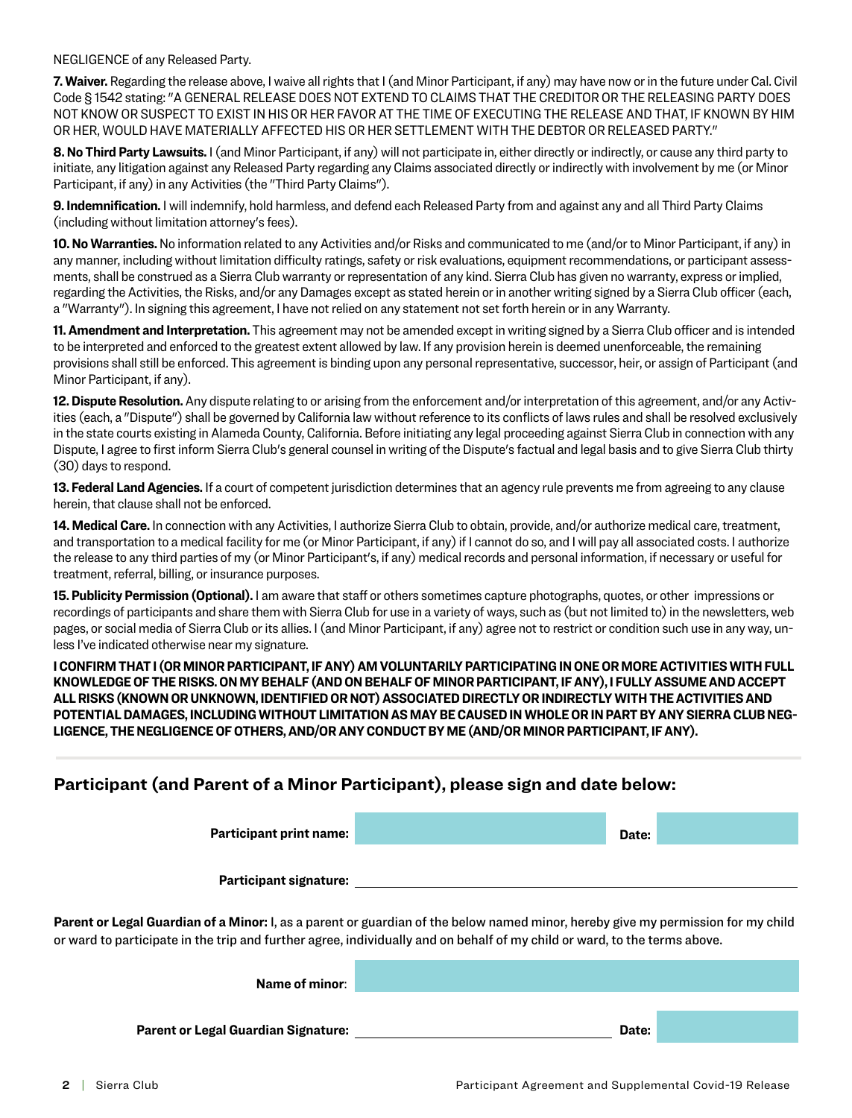NEGLIGENCE of any Released Party.

**7. Waiver.** Regarding the release above, I waive all rights that I (and Minor Participant, if any) may have now or in the future under Cal. Civil Code § 1542 stating: "A GENERAL RELEASE DOES NOT EXTEND TO CLAIMS THAT THE CREDITOR OR THE RELEASING PARTY DOES NOT KNOW OR SUSPECT TO EXIST IN HIS OR HER FAVOR AT THE TIME OF EXECUTING THE RELEASE AND THAT, IF KNOWN BY HIM OR HER, WOULD HAVE MATERIALLY AFFECTED HIS OR HER SETTLEMENT WITH THE DEBTOR OR RELEASED PARTY."

**8. No Third Party Lawsuits.** I (and Minor Participant, if any) will not participate in, either directly or indirectly, or cause any third party to initiate, any litigation against any Released Party regarding any Claims associated directly or indirectly with involvement by me (or Minor Participant, if any) in any Activities (the "Third Party Claims").

**9. Indemnification.** I will indemnify, hold harmless, and defend each Released Party from and against any and all Third Party Claims (including without limitation attorney's fees).

**10. No Warranties.** No information related to any Activities and/or Risks and communicated to me (and/or to Minor Participant, if any) in any manner, including without limitation difficulty ratings, safety or risk evaluations, equipment recommendations, or participant assessments, shall be construed as a Sierra Club warranty or representation of any kind. Sierra Club has given no warranty, express or implied, regarding the Activities, the Risks, and/or any Damages except as stated herein or in another writing signed by a Sierra Club officer (each, a "Warranty"). In signing this agreement, I have not relied on any statement not set forth herein or in any Warranty.

**11. Amendment and Interpretation.** This agreement may not be amended except in writing signed by a Sierra Club officer and is intended to be interpreted and enforced to the greatest extent allowed by law. If any provision herein is deemed unenforceable, the remaining provisions shall still be enforced. This agreement is binding upon any personal representative, successor, heir, or assign of Participant (and Minor Participant, if any).

**12. Dispute Resolution.** Any dispute relating to or arising from the enforcement and/or interpretation of this agreement, and/or any Activities (each, a "Dispute") shall be governed by California law without reference to its conflicts of laws rules and shall be resolved exclusively in the state courts existing in Alameda County, California. Before initiating any legal proceeding against Sierra Club in connection with any Dispute, I agree to first inform Sierra Club's general counsel in writing of the Dispute's factual and legal basis and to give Sierra Club thirty (30) days to respond.

**13. Federal Land Agencies.** If a court of competent jurisdiction determines that an agency rule prevents me from agreeing to any clause herein, that clause shall not be enforced.

**14. Medical Care.** In connection with any Activities, I authorize Sierra Club to obtain, provide, and/or authorize medical care, treatment, and transportation to a medical facility for me (or Minor Participant, if any) if I cannot do so, and I will pay all associated costs. I authorize the release to any third parties of my (or Minor Participant's, if any) medical records and personal information, if necessary or useful for treatment, referral, billing, or insurance purposes.

**15. Publicity Permission (Optional).** I am aware that staff or others sometimes capture photographs, quotes, or other impressions or recordings of participants and share them with Sierra Club for use in a variety of ways, such as (but not limited to) in the newsletters, web pages, or social media of Sierra Club or its allies. I (and Minor Participant, if any) agree not to restrict or condition such use in any way, unless I've indicated otherwise near my signature.

**I CONFIRM THAT I (OR MINOR PARTICIPANT, IF ANY) AM VOLUNTARILY PARTICIPATING IN ONE OR MORE ACTIVITIES WITH FULL KNOWLEDGE OF THE RISKS. ON MY BEHALF (AND ON BEHALF OF MINOR PARTICIPANT, IF ANY), I FULLY ASSUME AND ACCEPT ALL RISKS (KNOWN OR UNKNOWN, IDENTIFIED OR NOT) ASSOCIATED DIRECTLY OR INDIRECTLY WITH THE ACTIVITIES AND POTENTIAL DAMAGES, INCLUDING WITHOUT LIMITATION AS MAY BE CAUSED IN WHOLE OR IN PART BY ANY SIERRA CLUB NEG-LIGENCE, THE NEGLIGENCE OF OTHERS, AND/OR ANY CONDUCT BY ME (AND/OR MINOR PARTICIPANT, IF ANY).**

### **Participant (and Parent of a Minor Participant), please sign and date below:**

**Date: Participant print name: Participant signature:**

**Parent or Legal Guardian of a Minor:** I, as a parent or guardian of the below named minor, hereby give my permission for my child or ward to participate in the trip and further agree, individually and on behalf of my child or ward, to the terms above.

| Name of minor:                             |       |  |
|--------------------------------------------|-------|--|
|                                            |       |  |
| <b>Parent or Legal Guardian Signature:</b> | Date: |  |